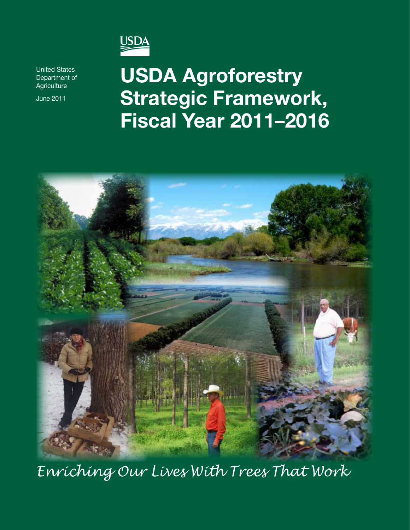

United States Department of **Agriculture** 

June 2011

# **USDA Agroforestry Strategic Framework, Fiscal Year 2011–2016**



*Enriching Our Lives With Trees That Work*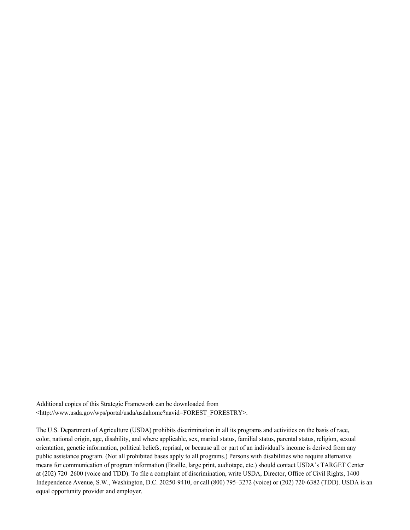Additional copies of this Strategic Framework can be downloaded from <http://www.usda.gov/wps/portal/usda/usdahome?navid=FOREST\_FORESTRY>.

The U.S. Department of Agriculture (USDA) prohibits discrimination in all its programs and activities on the basis of race, color, national origin, age, disability, and where applicable, sex, marital status, familial status, parental status, religion, sexual orientation, genetic information, political beliefs, reprisal, or because all or part of an individual's income is derived from any public assistance program. (Not all prohibited bases apply to all programs.) Persons with disabilities who require alternative means for communication of program information (Braille, large print, audiotape, etc.) should contact USDA's TARGET Center at (202) 720–2600 (voice and TDD). To file a complaint of discrimination, write USDA, Director, Office of Civil Rights, 1400 Independence Avenue, S.W., Washington, D.C. 20250-9410, or call (800) 795–3272 (voice) or (202) 720-6382 (TDD). USDA is an equal opportunity provider and employer.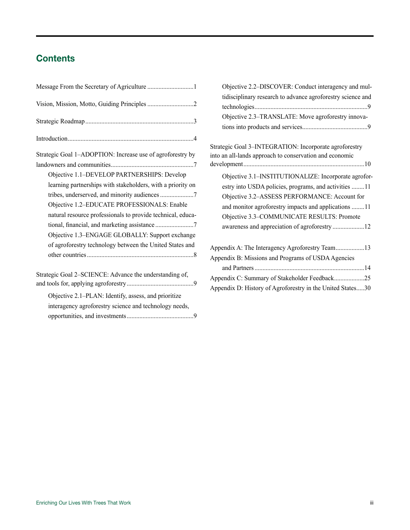# **Contents**

| Strategic Goal 1-ADOPTION: Increase use of agroforestry by<br>Objective 1.1-DEVELOP PARTNERSHIPS: Develop<br>learning partnerships with stakeholders, with a priority on<br>Objective 1.2-EDUCATE PROFESSIONALS: Enable<br>natural resource professionals to provide technical, educa-<br>Objective 1.3-ENGAGE GLOBALLY: Support exchange<br>of agroforestry technology between the United States and |
|-------------------------------------------------------------------------------------------------------------------------------------------------------------------------------------------------------------------------------------------------------------------------------------------------------------------------------------------------------------------------------------------------------|
| Strategic Goal 2-SCIENCE: Advance the understanding of,<br>Objective 2.1-PLAN: Identify, assess, and prioritize<br>interagency agroforestry science and technology needs,                                                                                                                                                                                                                             |

| Objective 2.2–DISCOVER: Conduct interagency and mul-        |
|-------------------------------------------------------------|
| tidisciplinary research to advance agroforestry science and |
|                                                             |
| Objective 2.3-TRANSLATE: Move agroforestry innova-          |
|                                                             |
| Strategic Goal 3-INTEGRATION: Incorporate agroforestry      |
| into an all-lands approach to conservation and economic     |
|                                                             |
| Objective 3.1-INSTITUTIONALIZE: Incorporate agrofor-        |
| estry into USDA policies, programs, and activities 11       |
| Objective 3.2-ASSESS PERFORMANCE: Account for               |
| and monitor agroforestry impacts and applications 11        |
| Objective 3.3-COMMUNICATE RESULTS: Promote                  |
| awareness and appreciation of agroforestry12                |
|                                                             |
| Appendix B: Missions and Programs of USDA Agencies          |
|                                                             |
| Appendix C: Summary of Stakeholder Feedback25               |
| Appendix D: History of Agroforestry in the United States30  |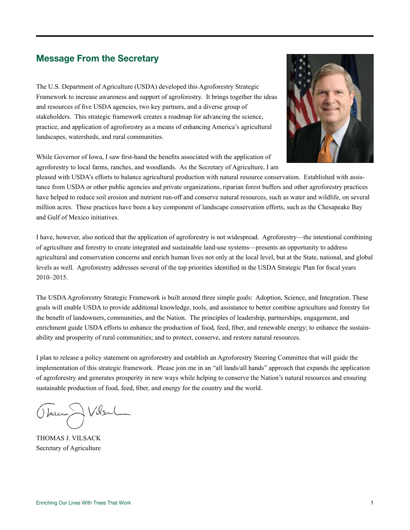# **Message From the Secretary**

The U.S. Department of Agriculture (USDA) developed this Agroforestry Strategic Framework to increase awareness and support of agroforestry. It brings together the ideas and resources of five USDA agencies, two key partners, and a diverse group of stakeholders. This strategic framework creates a roadmap for advancing the science, practice, and application of agroforestry as a means of enhancing America's agricultural landscapes, watersheds, and rural communities.



While Governor of Iowa, I saw first-hand the benefits associated with the application of agroforestry to local farms, ranches, and woodlands. As the Secretary of Agriculture, I am

pleased with USDA's efforts to balance agricultural production with natural resource conservation. Established with assistance from USDA or other public agencies and private organizations, riparian forest buffers and other agroforestry practices have helped to reduce soil erosion and nutrient run-off and conserve natural resources, such as water and wildlife, on several million acres. These practices have been a key component of landscape conservation efforts, such as the Chesapeake Bay and Gulf of Mexico initiatives.

I have, however, also noticed that the application of agroforestry is not widespread. Agroforestry—the intentional combining of agriculture and forestry to create integrated and sustainable land-use systems—presents an opportunity to address agricultural and conservation concerns and enrich human lives not only at the local level, but at the State, national, and global levels as well. Agroforestry addresses several of the top priorities identified in the USDA Strategic Plan for fiscal years 2010–2015.

The USDA Agroforestry Strategic Framework is built around three simple goals: Adoption, Science, and Integration. These goals will enable USDA to provide additional knowledge, tools, and assistance to better combine agriculture and forestry for the benefit of landowners, communities, and the Nation. The principles of leadership, partnerships, engagement, and enrichment guide USDA efforts to enhance the production of food, feed, fiber, and renewable energy; to enhance the sustainability and prosperity of rural communities; and to protect, conserve, and restore natural resources.

I plan to release a policy statement on agroforestry and establish an Agroforestry Steering Committee that will guide the implementation of this strategic framework. Please join me in an "all lands/all hands" approach that expands the application of agroforestry and generates prosperity in new ways while helping to conserve the Nation's natural resources and ensuring sustainable production of food, feed, fiber, and energy for the country and the world.

Wilsel

THOMAS J. VILSACK Secretary of Agriculture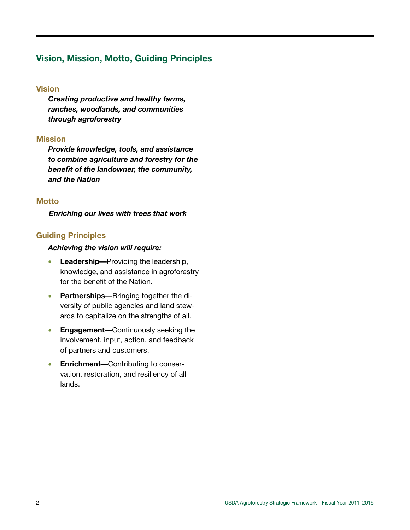# **Vision, Mission, Motto, Guiding Principles**

## **Vision**

*Creating productive and healthy farms, ranches, woodlands, and communities through agroforestry*

## **Mission**

*Provide knowledge, tools, and assistance to combine agriculture and forestry for the benefit of the landowner, the community, and the Nation*

## **Motto**

*Enriching our lives with trees that work*

## **Guiding Principles**

## *Achieving the vision will require:*

- **•** Leadership-Providing the leadership, knowledge, and assistance in agroforestry for the benefit of the Nation.
- • **Partnerships—**Bringing together the diversity of public agencies and land stewards to capitalize on the strengths of all.
- • **Engagement—**Continuously seeking the involvement, input, action, and feedback of partners and customers.
- • **Enrichment—**Contributing to conservation, restoration, and resiliency of all lands.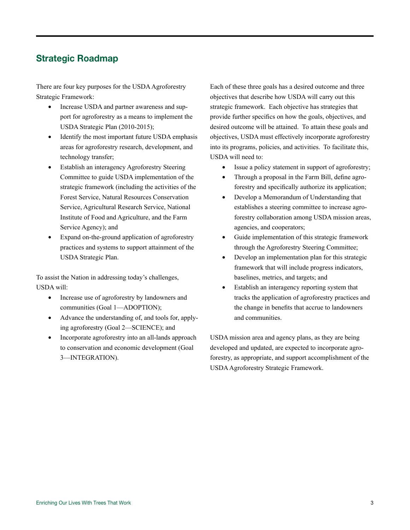# **Strategic Roadmap**

There are four key purposes for the USDA Agroforestry Strategic Framework:

- Increase USDA and partner awareness and support for agroforestry as a means to implement the USDA Strategic Plan (2010-2015);
- Identify the most important future USDA emphasis areas for agroforestry research, development, and technology transfer;
- Establish an interagency Agroforestry Steering Committee to guide USDA implementation of the strategic framework (including the activities of the Forest Service, Natural Resources Conservation Service, Agricultural Research Service, National Institute of Food and Agriculture, and the Farm Service Agency); and
- Expand on-the-ground application of agroforestry practices and systems to support attainment of the USDA Strategic Plan.

To assist the Nation in addressing today's challenges, USDA will:

- Increase use of agroforestry by landowners and communities (Goal 1—ADOPTION);
- Advance the understanding of, and tools for, applying agroforestry (Goal 2—SCIENCE); and
- Incorporate agroforestry into an all-lands approach to conservation and economic development (Goal 3—INTEGRATION).

Each of these three goals has a desired outcome and three objectives that describe how USDA will carry out this strategic framework. Each objective has strategies that provide further specifics on how the goals, objectives, and desired outcome will be attained. To attain these goals and objectives, USDA must effectively incorporate agroforestry into its programs, policies, and activities. To facilitate this, USDA will need to:

- Issue a policy statement in support of agroforestry;
- Through a proposal in the Farm Bill, define agroforestry and specifically authorize its application;
- Develop a Memorandum of Understanding that establishes a steering committee to increase agroforestry collaboration among USDA mission areas, agencies, and cooperators;
- Guide implementation of this strategic framework through the Agroforestry Steering Committee;
- Develop an implementation plan for this strategic framework that will include progress indicators, baselines, metrics, and targets; and
- Establish an interagency reporting system that tracks the application of agroforestry practices and the change in benefits that accrue to landowners and communities.

USDA mission area and agency plans, as they are being developed and updated, are expected to incorporate agroforestry, as appropriate, and support accomplishment of the USDA Agroforestry Strategic Framework.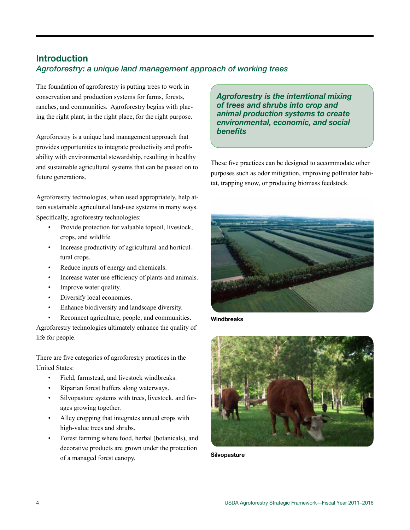# **Introduction** *Agroforestry: a unique land management approach of working trees*

The foundation of agroforestry is putting trees to work in conservation and production systems for farms, forests, ranches, and communities. Agroforestry begins with placing the right plant, in the right place, for the right purpose.

Agroforestry is a unique land management approach that provides opportunities to integrate productivity and profitability with environmental stewardship, resulting in healthy and sustainable agricultural systems that can be passed on to future generations.

Agroforestry technologies, when used appropriately, help attain sustainable agricultural land-use systems in many ways. Specifically, agroforestry technologies:

- Provide protection for valuable topsoil, livestock, crops, and wildlife.
- Increase productivity of agricultural and horticultural crops.
- Reduce inputs of energy and chemicals.
- Increase water use efficiency of plants and animals.
- Improve water quality.
- Diversify local economies.
- Enhance biodiversity and landscape diversity.
- Reconnect agriculture, people, and communities.

Agroforestry technologies ultimately enhance the quality of life for people.

There are five categories of agroforestry practices in the United States:

- Field, farmstead, and livestock windbreaks.
- Riparian forest buffers along waterways.
- Silvopasture systems with trees, livestock, and forages growing together.
- Alley cropping that integrates annual crops with high-value trees and shrubs.
- Forest farming where food, herbal (botanicals), and decorative products are grown under the protection of a managed forest canopy.

*Agroforestry is the intentional mixing of trees and shrubs into crop and animal production systems to create environmental, economic, and social benefits*

These five practices can be designed to accommodate other purposes such as odor mitigation, improving pollinator habitat, trapping snow, or producing biomass feedstock.



**Windbreaks**



**Silvopasture**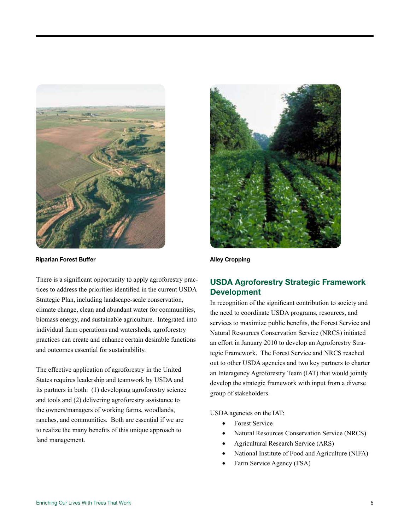

**Riparian Forest Buffer Alley Cropping Alley Cropping** 

There is a significant opportunity to apply agroforestry practices to address the priorities identified in the current USDA Strategic Plan, including landscape-scale conservation, climate change, clean and abundant water for communities, biomass energy, and sustainable agriculture. Integrated into individual farm operations and watersheds, agroforestry practices can create and enhance certain desirable functions and outcomes essential for sustainability.

The effective application of agroforestry in the United States requires leadership and teamwork by USDA and its partners in both: (1) developing agroforestry science and tools and (2) delivering agroforestry assistance to the owners/managers of working farms, woodlands, ranches, and communities. Both are essential if we are to realize the many benefits of this unique approach to land management.



## **USDA Agroforestry Strategic Framework Development**

In recognition of the significant contribution to society and the need to coordinate USDA programs, resources, and services to maximize public benefits, the Forest Service and Natural Resources Conservation Service (NRCS) initiated an effort in January 2010 to develop an Agroforestry Strategic Framework. The Forest Service and NRCS reached out to other USDA agencies and two key partners to charter an Interagency Agroforestry Team (IAT) that would jointly develop the strategic framework with input from a diverse group of stakeholders.

USDA agencies on the IAT:

- Forest Service
- Natural Resources Conservation Service (NRCS)
- Agricultural Research Service (ARS)
- National Institute of Food and Agriculture (NIFA)
- Farm Service Agency (FSA)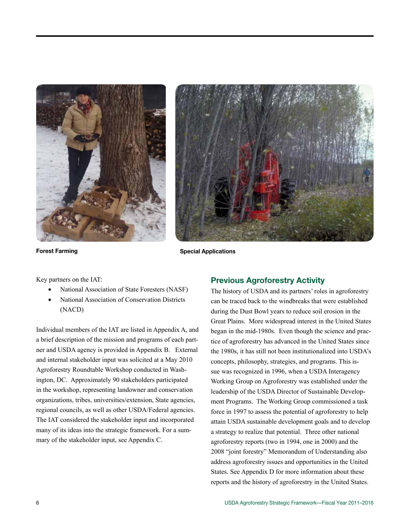



**Forest Farming Special Applications** 

Key partners on the IAT:

- National Association of State Foresters (NASF)
- National Association of Conservation Districts (NACD)

Individual members of the IAT are listed in Appendix A, and a brief description of the mission and programs of each partner and USDA agency is provided in Appendix B. External and internal stakeholder input was solicited at a May 2010 Agroforestry Roundtable Workshop conducted in Washington, DC. Approximately 90 stakeholders participated in the workshop, representing landowner and conservation organizations, tribes, universities/extension, State agencies, regional councils, as well as other USDA/Federal agencies. The IAT considered the stakeholder input and incorporated many of its ideas into the strategic framework. For a summary of the stakeholder input, see Appendix C.

## **Previous Agroforestry Activity**

The history of USDA and its partners' roles in agroforestry can be traced back to the windbreaks that were established during the Dust Bowl years to reduce soil erosion in the Great Plains. More widespread interest in the United States began in the mid-1980s. Even though the science and practice of agroforestry has advanced in the United States since the 1980s, it has still not been institutionalized into USDA's concepts, philosophy, strategies, and programs. This issue was recognized in 1996, when a USDA Interagency Working Group on Agroforestry was established under the leadership of the USDA Director of Sustainable Development Programs. The Working Group commissioned a task force in 1997 to assess the potential of agroforestry to help attain USDA sustainable development goals and to develop a strategy to realize that potential. Three other national agroforestry reports (two in 1994, one in 2000) and the 2008 "joint forestry" Memorandum of Understanding also address agroforestry issues and opportunities in the United States. See Appendix D for more information about these reports and the history of agroforestry in the United States.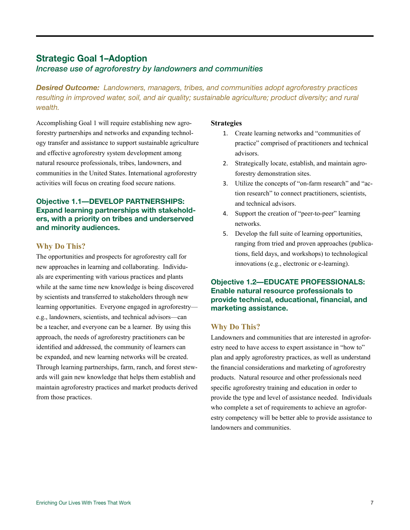# **Strategic Goal 1–Adoption**

## *Increase use of agroforestry by landowners and communities*

*Desired Outcome: Landowners, managers, tribes, and communities adopt agroforestry practices resulting in improved water, soil, and air quality; sustainable agriculture; product diversity; and rural wealth.* 

Accomplishing Goal 1 will require establishing new agroforestry partnerships and networks and expanding technology transfer and assistance to support sustainable agriculture and effective agroforestry system development among natural resource professionals, tribes, landowners, and communities in the United States. International agroforestry activities will focus on creating food secure nations.

## **Objective 1.1—DEVELOP PARTNERSHIPS: Expand learning partnerships with stakeholders, with a priority on tribes and underserved and minority audiences.**

## **Why Do This?**

The opportunities and prospects for agroforestry call for new approaches in learning and collaborating. Individuals are experimenting with various practices and plants while at the same time new knowledge is being discovered by scientists and transferred to stakeholders through new learning opportunities. Everyone engaged in agroforestry e.g., landowners, scientists, and technical advisors—can be a teacher, and everyone can be a learner. By using this approach, the needs of agroforestry practitioners can be identified and addressed, the community of learners can be expanded, and new learning networks will be created. Through learning partnerships, farm, ranch, and forest stewards will gain new knowledge that helps them establish and maintain agroforestry practices and market products derived from those practices.

#### **Strategies**

- 1. Create learning networks and "communities of practice" comprised of practitioners and technical advisors.
- 2. Strategically locate, establish, and maintain agroforestry demonstration sites.
- 3. Utilize the concepts of "on-farm research" and "action research" to connect practitioners, scientists, and technical advisors.
- 4. Support the creation of "peer-to-peer" learning networks.
- 5. Develop the full suite of learning opportunities, ranging from tried and proven approaches (publications, field days, and workshops) to technological innovations (e.g., electronic or e-learning).

## **Objective 1.2—EDUCATE PROFESSIONALS: Enable natural resource professionals to provide technical, educational, financial, and marketing assistance.**

## **Why Do This?**

Landowners and communities that are interested in agroforestry need to have access to expert assistance in "how to" plan and apply agroforestry practices, as well as understand the financial considerations and marketing of agroforestry products. Natural resource and other professionals need specific agroforestry training and education in order to provide the type and level of assistance needed. Individuals who complete a set of requirements to achieve an agroforestry competency will be better able to provide assistance to landowners and communities.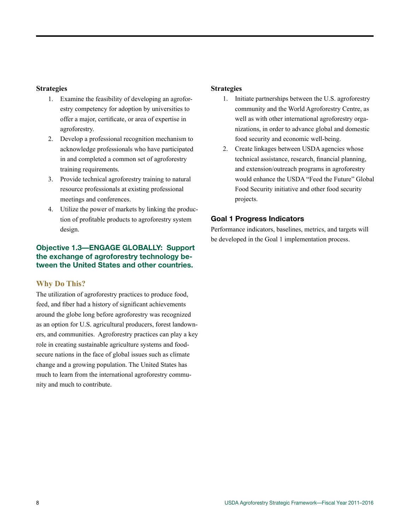#### **Strategies**

- 1. Examine the feasibility of developing an agroforestry competency for adoption by universities to offer a major, certificate, or area of expertise in agroforestry.
- 2. Develop a professional recognition mechanism to acknowledge professionals who have participated in and completed a common set of agroforestry training requirements.
- 3. Provide technical agroforestry training to natural resource professionals at existing professional meetings and conferences.
- 4. Utilize the power of markets by linking the production of profitable products to agroforestry system design.

## **Objective 1.3—ENGAGE GLOBALLY: Support the exchange of agroforestry technology between the United States and other countries.**

## **Why Do This?**

The utilization of agroforestry practices to produce food, feed, and fiber had a history of significant achievements around the globe long before agroforestry was recognized as an option for U.S. agricultural producers, forest landowners, and communities. Agroforestry practices can play a key role in creating sustainable agriculture systems and foodsecure nations in the face of global issues such as climate change and a growing population. The United States has much to learn from the international agroforestry community and much to contribute.

### **Strategies**

- 1. Initiate partnerships between the U.S. agroforestry community and the World Agroforestry Centre, as well as with other international agroforestry organizations, in order to advance global and domestic food security and economic well-being.
- 2. Create linkages between USDA agencies whose technical assistance, research, financial planning, and extension/outreach programs in agroforestry would enhance the USDA "Feed the Future" Global Food Security initiative and other food security projects.

## **Goal 1 Progress Indicators**

Performance indicators, baselines, metrics, and targets will be developed in the Goal 1 implementation process.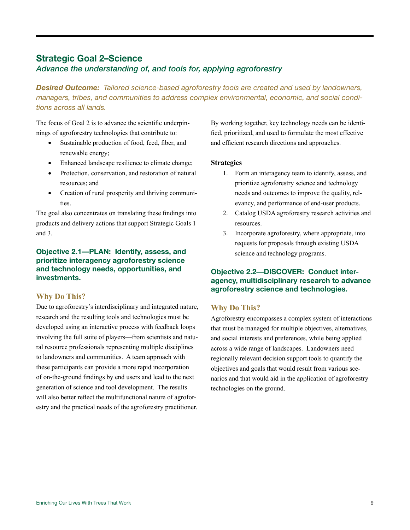## **Strategic Goal 2–Science** *Advance the understanding of, and tools for, applying agroforestry*

*Desired Outcome: Tailored science-based agroforestry tools are created and used by landowners, managers, tribes, and communities to address complex environmental, economic, and social conditions across all lands.* 

The focus of Goal 2 is to advance the scientific underpinnings of agroforestry technologies that contribute to:

- Sustainable production of food, feed, fiber, and renewable energy;
- Enhanced landscape resilience to climate change;
- Protection, conservation, and restoration of natural resources; and
- Creation of rural prosperity and thriving communities.

The goal also concentrates on translating these findings into products and delivery actions that support Strategic Goals 1 and 3.

## **Objective 2.1—PLAN: Identify, assess, and prioritize interagency agroforestry science and technology needs, opportunities, and investments.**

## **Why Do This?**

Due to agroforestry's interdisciplinary and integrated nature, research and the resulting tools and technologies must be developed using an interactive process with feedback loops involving the full suite of players—from scientists and natural resource professionals representing multiple disciplines to landowners and communities. A team approach with these participants can provide a more rapid incorporation of on-the-ground findings by end users and lead to the next generation of science and tool development. The results will also better reflect the multifunctional nature of agroforestry and the practical needs of the agroforestry practitioner.

By working together, key technology needs can be identified, prioritized, and used to formulate the most effective and efficient research directions and approaches.

#### **Strategies**

- 1. Form an interagency team to identify, assess, and prioritize agroforestry science and technology needs and outcomes to improve the quality, relevancy, and performance of end-user products.
- 2. Catalog USDA agroforestry research activities and resources.
- 3. Incorporate agroforestry, where appropriate, into requests for proposals through existing USDA science and technology programs.

## **Objective 2.2—DISCOVER: Conduct interagency, multidisciplinary research to advance agroforestry science and technologies.**

## **Why Do This?**

Agroforestry encompasses a complex system of interactions that must be managed for multiple objectives, alternatives, and social interests and preferences, while being applied across a wide range of landscapes. Landowners need regionally relevant decision support tools to quantify the objectives and goals that would result from various scenarios and that would aid in the application of agroforestry technologies on the ground.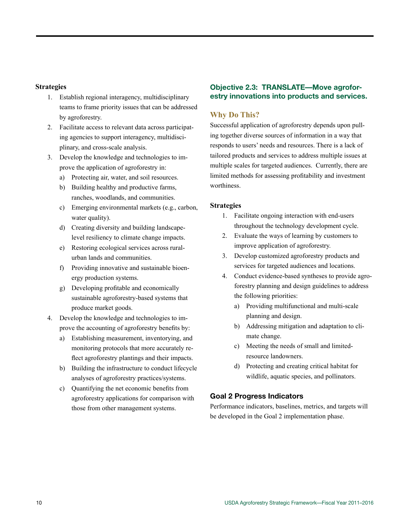#### **Strategies**

- 1. Establish regional interagency, multidisciplinary teams to frame priority issues that can be addressed by agroforestry.
- 2. Facilitate access to relevant data across participating agencies to support interagency, multidisciplinary, and cross-scale analysis.
- 3. Develop the knowledge and technologies to improve the application of agroforestry in:
	- a) Protecting air, water, and soil resources.
	- b) Building healthy and productive farms, ranches, woodlands, and communities.
	- c) Emerging environmental markets (e.g., carbon, water quality).
	- d) Creating diversity and building landscapelevel resiliency to climate change impacts.
	- e) Restoring ecological services across ruralurban lands and communities.
	- f) Providing innovative and sustainable bioenergy production systems.
	- g) Developing profitable and economically sustainable agroforestry-based systems that produce market goods.
- 4. Develop the knowledge and technologies to improve the accounting of agroforestry benefits by:
	- a) Establishing measurement, inventorying, and monitoring protocols that more accurately reflect agroforestry plantings and their impacts.
	- b) Building the infrastructure to conduct lifecycle analyses of agroforestry practices/systems.
	- c) Quantifying the net economic benefits from agroforestry applications for comparison with those from other management systems.

#### **Objective 2.3: TRANSLATE—Move agroforestry innovations into products and services.**

### **Why Do This?**

Successful application of agroforestry depends upon pulling together diverse sources of information in a way that responds to users' needs and resources. There is a lack of tailored products and services to address multiple issues at multiple scales for targeted audiences. Currently, there are limited methods for assessing profitability and investment worthiness.

#### **Strategies**

- 1. Facilitate ongoing interaction with end-users throughout the technology development cycle.
- 2. Evaluate the ways of learning by customers to improve application of agroforestry.
- 3. Develop customized agroforestry products and services for targeted audiences and locations.
- 4. Conduct evidence-based syntheses to provide agroforestry planning and design guidelines to address the following priorities:
	- a) Providing multifunctional and multi-scale planning and design.
	- b) Addressing mitigation and adaptation to climate change.
	- c) Meeting the needs of small and limitedresource landowners.
	- d) Protecting and creating critical habitat for wildlife, aquatic species, and pollinators.

#### **Goal 2 Progress Indicators**

Performance indicators, baselines, metrics, and targets will be developed in the Goal 2 implementation phase.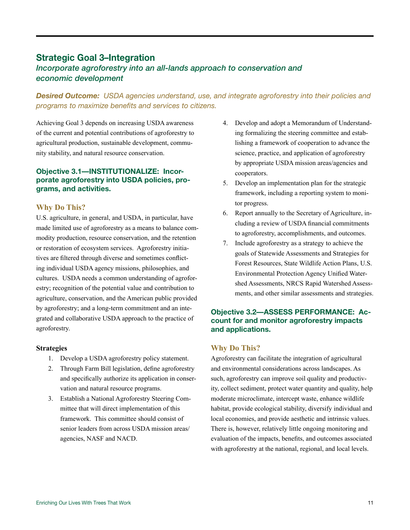## **Strategic Goal 3–Integration**

## *Incorporate agroforestry into an all-lands approach to conservation and economic development*

*Desired Outcome: USDA agencies understand, use, and integrate agroforestry into their policies and programs to maximize benefits and services to citizens.*

Achieving Goal 3 depends on increasing USDA awareness of the current and potential contributions of agroforestry to agricultural production, sustainable development, community stability, and natural resource conservation.

### **Objective 3.1—INSTITUTIONALIZE: Incorporate agroforestry into USDA policies, programs, and activities.**

#### **Why Do This?**

U.S. agriculture, in general, and USDA, in particular, have made limited use of agroforestry as a means to balance commodity production, resource conservation, and the retention or restoration of ecosystem services. Agroforestry initiatives are filtered through diverse and sometimes conflicting individual USDA agency missions, philosophies, and cultures. USDA needs a common understanding of agroforestry; recognition of the potential value and contribution to agriculture, conservation, and the American public provided by agroforestry; and a long-term commitment and an integrated and collaborative USDA approach to the practice of agroforestry.

#### **Strategies**

- 1. Develop a USDA agroforestry policy statement.
- 2. Through Farm Bill legislation, define agroforestry and specifically authorize its application in conservation and natural resource programs.
- 3. Establish a National Agroforestry Steering Committee that will direct implementation of this framework. This committee should consist of senior leaders from across USDA mission areas/ agencies, NASF and NACD.
- 4. Develop and adopt a Memorandum of Understanding formalizing the steering committee and establishing a framework of cooperation to advance the science, practice, and application of agroforestry by appropriate USDA mission areas/agencies and cooperators.
- 5. Develop an implementation plan for the strategic framework, including a reporting system to monitor progress.
- 6. Report annually to the Secretary of Agriculture, including a review of USDA financial commitments to agroforestry, accomplishments, and outcomes.
- 7. Include agroforestry as a strategy to achieve the goals of Statewide Assessments and Strategies for Forest Resources, State Wildlife Action Plans, U.S. Environmental Protection Agency Unified Watershed Assessments, NRCS Rapid Watershed Assessments, and other similar assessments and strategies.

#### **Objective 3.2—ASSESS PERFORMANCE: Account for and monitor agroforestry impacts and applications.**

#### **Why Do This?**

Agroforestry can facilitate the integration of agricultural and environmental considerations across landscapes. As such, agroforestry can improve soil quality and productivity, collect sediment, protect water quantity and quality, help moderate microclimate, intercept waste, enhance wildlife habitat, provide ecological stability, diversify individual and local economies, and provide aesthetic and intrinsic values. There is, however, relatively little ongoing monitoring and evaluation of the impacts, benefits, and outcomes associated with agroforestry at the national, regional, and local levels.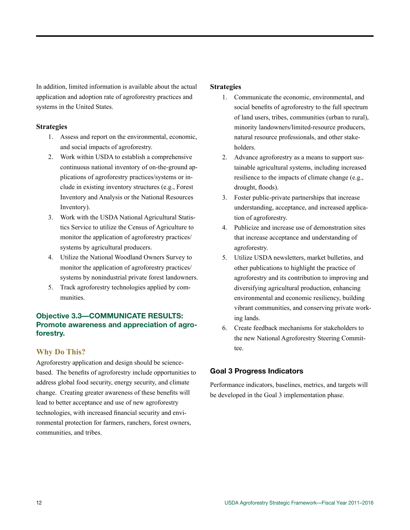In addition, limited information is available about the actual application and adoption rate of agroforestry practices and systems in the United States.

#### **Strategies**

- 1. Assess and report on the environmental, economic, and social impacts of agroforestry.
- 2. Work within USDA to establish a comprehensive continuous national inventory of on-the-ground applications of agroforestry practices/systems or include in existing inventory structures (e.g., Forest Inventory and Analysis or the National Resources Inventory).
- 3. Work with the USDA National Agricultural Statistics Service to utilize the Census of Agriculture to monitor the application of agroforestry practices/ systems by agricultural producers.
- 4. Utilize the National Woodland Owners Survey to monitor the application of agroforestry practices/ systems by nonindustrial private forest landowners.
- 5. Track agroforestry technologies applied by communities.

## **Objective 3.3—COMMUNICATE RESULTS: Promote awareness and appreciation of agroforestry.**

## **Why Do This?**

Agroforestry application and design should be sciencebased. The benefits of agroforestry include opportunities to address global food security, energy security, and climate change. Creating greater awareness of these benefits will lead to better acceptance and use of new agroforestry technologies, with increased financial security and environmental protection for farmers, ranchers, forest owners, communities, and tribes.

#### **Strategies**

- 1. Communicate the economic, environmental, and social benefits of agroforestry to the full spectrum of land users, tribes, communities (urban to rural), minority landowners/limited-resource producers, natural resource professionals, and other stakeholders.
- 2. Advance agroforestry as a means to support sustainable agricultural systems, including increased resilience to the impacts of climate change (e.g., drought, floods).
- 3. Foster public-private partnerships that increase understanding, acceptance, and increased application of agroforestry.
- 4. Publicize and increase use of demonstration sites that increase acceptance and understanding of agroforestry.
- 5. Utilize USDA newsletters, market bulletins, and other publications to highlight the practice of agroforestry and its contribution to improving and diversifying agricultural production, enhancing environmental and economic resiliency, building vibrant communities, and conserving private working lands.
- 6. Create feedback mechanisms for stakeholders to the new National Agroforestry Steering Committee.

## **Goal 3 Progress Indicators**

Performance indicators, baselines, metrics, and targets will be developed in the Goal 3 implementation phase.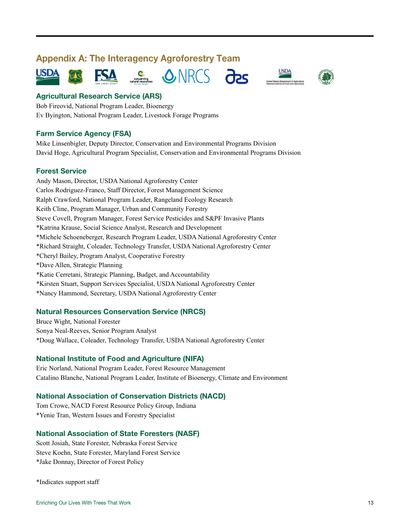# **Appendix A: The Interagency Agroforestry Team**







Bob Fireovid, National Program Leader, Bioenergy Ev Byington, National Program Leader, Livestock Forage Programs

## **Farm Service Agency (FSA)**

Mike Linsenbigler, Deputy Director, Conservation and Environmental Programs Division David Hoge, Agricultural Program Specialist, Conservation and Environmental Programs Division

 $\bullet$  ONRCS  $\bullet$ 

## **Forest Service**

Andy Mason, Director, USDA National Agroforestry Center Carlos Rodriguez-Franco, Staff Director, Forest Management Science Ralph Crawford, National Program Leader, Rangeland Ecology Research Keith Cline, Program Manager, Urban and Community Forestry Steve Covell, Program Manager, Forest Service Pesticides and S&PF Invasive Plants \*Katrina Krause, Social Science Analyst, Research and Development \*Michele Schoeneberger, Research Program Leader, USDA National Agroforestry Center \*Richard Straight, Coleader, Technology Transfer, USDA National Agroforestry Center \*Cheryl Bailey, Program Analyst, Cooperative Forestry \*Dave Allen, Strategic Planning \*Katie Cerretani, Strategic Planning, Budget, and Accountability \*Kirsten Stuart, Support Services Specialist, USDA National Agroforestry Center \*Nancy Hammond, Secretary, USDA National Agroforestry Center

## **Natural Resources Conservation Service (NRCS)**

Bruce Wight, National Forester Sonya Neal-Reeves, Senior Program Analyst \*Doug Wallace, Coleader, Technology Transfer, USDA National Agroforestry Center

## **National Institute of Food and Agriculture (NIFA)**

Eric Norland, National Program Leader, Forest Resource Management Catalino Blanche, National Program Leader, Institute of Bioenergy, Climate and Environment

## **National Association of Conservation Districts (NACD)**

Tom Crowe, NACD Forest Resource Policy Group, Indiana \*Yenie Tran, Western Issues and Forestry Specialist

## **National Association of State Foresters (NASF)**

Scott Josiah, State Forester, Nebraska Forest Service Steve Koehn, State Forester, Maryland Forest Service \*Jake Donnay, Director of Forest Policy

\*Indicates support staff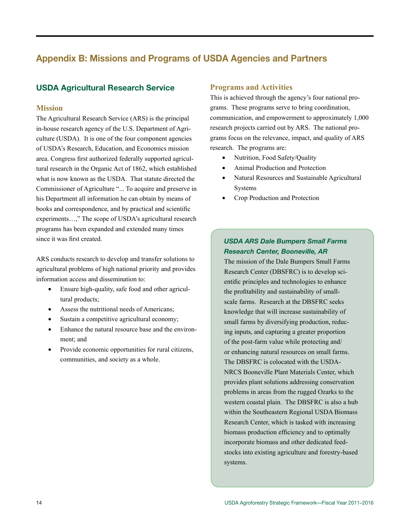# **Appendix B: Missions and Programs of USDA Agencies and Partners**

## **USDA Agricultural Research Service**

#### **Mission**

The Agricultural Research Service (ARS) is the principal in-house research agency of the U.S. Department of Agriculture (USDA). It is one of the four component agencies of USDA's Research, Education, and Economics mission area. Congress first authorized federally supported agricultural research in the Organic Act of 1862, which established what is now known as the USDA. That statute directed the Commissioner of Agriculture "... To acquire and preserve in his Department all information he can obtain by means of books and correspondence, and by practical and scientific experiments…," The scope of USDA's agricultural research programs has been expanded and extended many times since it was first created.

ARS conducts research to develop and transfer solutions to agricultural problems of high national priority and provides information access and dissemination to:

- Ensure high-quality, safe food and other agricultural products;
- Assess the nutritional needs of Americans;
- Sustain a competitive agricultural economy;
- Enhance the natural resource base and the environment; and
- Provide economic opportunities for rural citizens, communities, and society as a whole.

#### **Programs and Activities**

This is achieved through the agency's four national programs. These programs serve to bring coordination, communication, and empowerment to approximately 1,000 research projects carried out by ARS. The national programs focus on the relevance, impact, and quality of ARS research. The programs are:

- • Nutrition, Food Safety/Quality
- Animal Production and Protection
- Natural Resources and Sustainable Agricultural Systems
- Crop Production and Protection

## *USDA ARS Dale Bumpers Small Farms Research Center, Booneville, AR*

The mission of the Dale Bumpers Small Farms Research Center (DBSFRC) is to develop scientific principles and technologies to enhance the profitability and sustainability of smallscale farms. Research at the DBSFRC seeks knowledge that will increase sustainability of small farms by diversifying production, reducing inputs, and capturing a greater proportion of the post-farm value while protecting and/ or enhancing natural resources on small farms. The DBSFRC is colocated with the USDA-NRCS Booneville Plant Materials Center, which provides plant solutions addressing conservation problems in areas from the rugged Ozarks to the western coastal plain. The DBSFRC is also a hub within the Southeastern Regional USDA Biomass Research Center, which is tasked with increasing biomass production efficiency and to optimally incorporate biomass and other dedicated feedstocks into existing agriculture and forestry-based systems.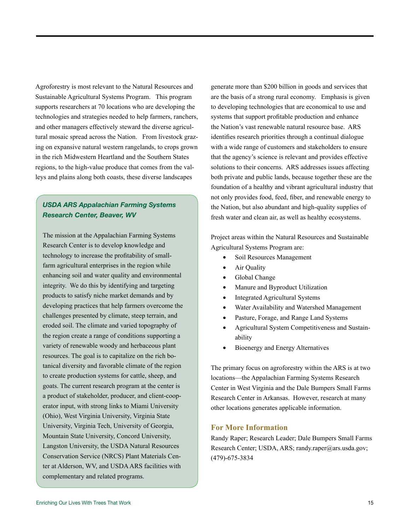Agroforestry is most relevant to the Natural Resources and Sustainable Agricultural Systems Program. This program supports researchers at 70 locations who are developing the technologies and strategies needed to help farmers, ranchers, and other managers effectively steward the diverse agricultural mosaic spread across the Nation. From livestock grazing on expansive natural western rangelands, to crops grown in the rich Midwestern Heartland and the Southern States regions, to the high-value produce that comes from the valleys and plains along both coasts, these diverse landscapes

## *USDA ARS Appalachian Farming Systems Research Center, Beaver, WV*

The mission at the Appalachian Farming Systems Research Center is to develop knowledge and technology to increase the profitability of smallfarm agricultural enterprises in the region while enhancing soil and water quality and environmental integrity. We do this by identifying and targeting products to satisfy niche market demands and by developing practices that help farmers overcome the challenges presented by climate, steep terrain, and eroded soil. The climate and varied topography of the region create a range of conditions supporting a variety of renewable woody and herbaceous plant resources. The goal is to capitalize on the rich botanical diversity and favorable climate of the region to create production systems for cattle, sheep, and goats. The current research program at the center is a product of stakeholder, producer, and client-cooperator input, with strong links to Miami University (Ohio), West Virginia University, Virginia State University, Virginia Tech, University of Georgia, Mountain State University, Concord University, Langston University, the USDA Natural Resources Conservation Service (NRCS) Plant Materials Center at Alderson, WV, and USDA ARS facilities with complementary and related programs.

generate more than \$200 billion in goods and services that are the basis of a strong rural economy. Emphasis is given to developing technologies that are economical to use and systems that support profitable production and enhance the Nation's vast renewable natural resource base. ARS identifies research priorities through a continual dialogue with a wide range of customers and stakeholders to ensure that the agency's science is relevant and provides effective solutions to their concerns. ARS addresses issues affecting both private and public lands, because together these are the foundation of a healthy and vibrant agricultural industry that not only provides food, feed, fiber, and renewable energy to the Nation, but also abundant and high-quality supplies of fresh water and clean air, as well as healthy ecosystems.

Project areas within the Natural Resources and Sustainable Agricultural Systems Program are:

- Soil Resources Management
- Air Quality
- Global Change
- Manure and Byproduct Utilization
- Integrated Agricultural Systems
- Water Availability and Watershed Management
- Pasture, Forage, and Range Land Systems
- Agricultural System Competitiveness and Sustainability
- Bioenergy and Energy Alternatives

The primary focus on agroforestry within the ARS is at two locations—the Appalachian Farming Systems Research Center in West Virginia and the Dale Bumpers Small Farms Research Center in Arkansas. However, research at many other locations generates applicable information.

#### **For More Information**

Randy Raper; Research Leader; Dale Bumpers Small Farms Research Center; USDA, ARS; randy.raper@ars.usda.gov; (479)-675-3834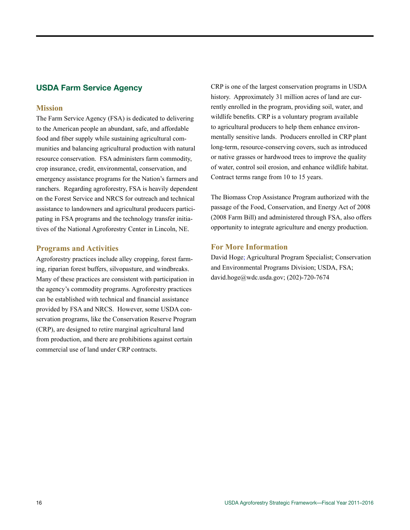## **USDA Farm Service Agency**

#### **Mission**

The Farm Service Agency (FSA) is dedicated to delivering to the American people an abundant, safe, and affordable food and fiber supply while sustaining agricultural communities and balancing agricultural production with natural resource conservation. FSA administers farm commodity, crop insurance, credit, environmental, conservation, and emergency assistance programs for the Nation's farmers and ranchers. Regarding agroforestry, FSA is heavily dependent on the Forest Service and NRCS for outreach and technical assistance to landowners and agricultural producers participating in FSA programs and the technology transfer initiatives of the National Agroforestry Center in Lincoln, NE.

#### **Programs and Activities**

Agroforestry practices include alley cropping, forest farming, riparian forest buffers, silvopasture, and windbreaks. Many of these practices are consistent with participation in the agency's commodity programs. Agroforestry practices can be established with technical and financial assistance provided by FSA and NRCS. However, some USDA conservation programs, like the Conservation Reserve Program (CRP), are designed to retire marginal agricultural land from production, and there are prohibitions against certain commercial use of land under CRP contracts.

CRP is one of the largest conservation programs in USDA history. Approximately 31 million acres of land are currently enrolled in the program, providing soil, water, and wildlife benefits. CRP is a voluntary program available to agricultural producers to help them enhance environmentally sensitive lands. Producers enrolled in CRP plant long-term, resource-conserving covers, such as introduced or native grasses or hardwood trees to improve the quality of water, control soil erosion, and enhance wildlife habitat. Contract terms range from 10 to 15 years.

The Biomass Crop Assistance Program authorized with the passage of the Food, Conservation, and Energy Act of 2008 (2008 Farm Bill) and administered through FSA, also offers opportunity to integrate agriculture and energy production.

## **For More Information**

David Hoge; Agricultural Program Specialist; Conservation and Environmental Programs Division; USDA, FSA; david.hoge@wdc.usda.gov; (202)-720-7674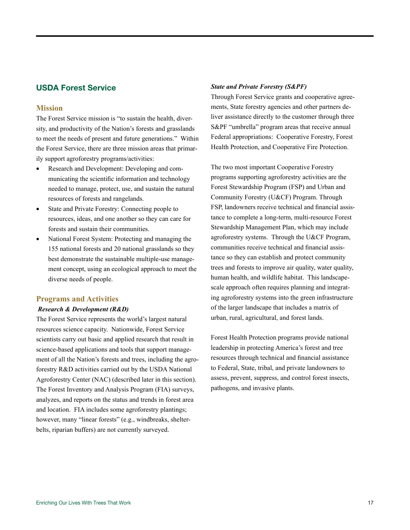## **USDA Forest Service**

#### **Mission**

The Forest Service mission is "to sustain the health, diversity, and productivity of the Nation's forests and grasslands to meet the needs of present and future generations." Within the Forest Service, there are three mission areas that primarily support agroforestry programs/activities:

- Research and Development: Developing and communicating the scientific information and technology needed to manage, protect, use, and sustain the natural resources of forests and rangelands.
- State and Private Forestry: Connecting people to resources, ideas, and one another so they can care for forests and sustain their communities.
- National Forest System: Protecting and managing the 155 national forests and 20 national grasslands so they best demonstrate the sustainable multiple-use management concept, using an ecological approach to meet the diverse needs of people.

#### **Programs and Activities**

#### *Research & Development (R&D)*

The Forest Service represents the world's largest natural resources science capacity. Nationwide, Forest Service scientists carry out basic and applied research that result in science-based applications and tools that support management of all the Nation's forests and trees, including the agroforestry R&D activities carried out by the USDA National Agroforestry Center (NAC) (described later in this section). The Forest Inventory and Analysis Program (FIA) surveys, analyzes, and reports on the status and trends in forest area and location. FIA includes some agroforestry plantings; however, many "linear forests" (e.g., windbreaks, shelterbelts, riparian buffers) are not currently surveyed.

#### *State and Private Forestry (S&PF)*

Through Forest Service grants and cooperative agreements, State forestry agencies and other partners deliver assistance directly to the customer through three S&PF "umbrella" program areas that receive annual Federal appropriations: Cooperative Forestry, Forest Health Protection, and Cooperative Fire Protection.

The two most important Cooperative Forestry programs supporting agroforestry activities are the Forest Stewardship Program (FSP) and Urban and Community Forestry (U&CF) Program. Through FSP, landowners receive technical and financial assistance to complete a long-term, multi-resource Forest Stewardship Management Plan, which may include agroforestry systems. Through the U&CF Program, communities receive technical and financial assistance so they can establish and protect community trees and forests to improve air quality, water quality, human health, and wildlife habitat. This landscapescale approach often requires planning and integrating agroforestry systems into the green infrastructure of the larger landscape that includes a matrix of urban, rural, agricultural, and forest lands.

Forest Health Protection programs provide national leadership in protecting America's forest and tree resources through technical and financial assistance to Federal, State, tribal, and private landowners to assess, prevent, suppress, and control forest insects, pathogens, and invasive plants.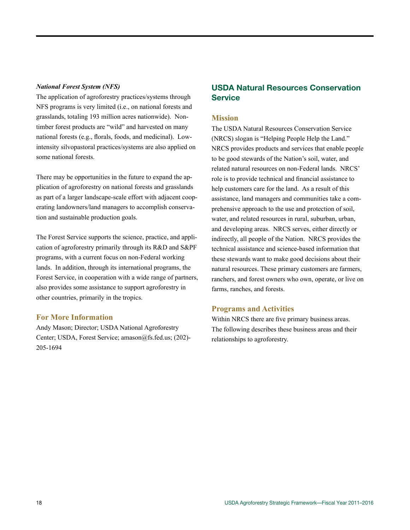#### *National Forest System (NFS)*

The application of agroforestry practices/systems through NFS programs is very limited (i.e., on national forests and grasslands, totaling 193 million acres nationwide). Nontimber forest products are "wild" and harvested on many national forests (e.g., florals, foods, and medicinal). Lowintensity silvopastoral practices/systems are also applied on some national forests.

There may be opportunities in the future to expand the application of agroforestry on national forests and grasslands as part of a larger landscape-scale effort with adjacent cooperating landowners/land managers to accomplish conservation and sustainable production goals.

The Forest Service supports the science, practice, and application of agroforestry primarily through its R&D and S&PF programs, with a current focus on non-Federal working lands. In addition, through its international programs, the Forest Service, in cooperation with a wide range of partners, also provides some assistance to support agroforestry in other countries, primarily in the tropics.

#### **For More Information**

Andy Mason; Director; USDA National Agroforestry Center; USDA, Forest Service; amason@fs.fed.us; (202)- 205-1694

## **USDA Natural Resources Conservation Service**

#### **Mission**

The USDA Natural Resources Conservation Service (NRCS) slogan is "Helping People Help the Land." NRCS provides products and services that enable people to be good stewards of the Nation's soil, water, and related natural resources on non-Federal lands. NRCS' role is to provide technical and financial assistance to help customers care for the land. As a result of this assistance, land managers and communities take a comprehensive approach to the use and protection of soil, water, and related resources in rural, suburban, urban, and developing areas. NRCS serves, either directly or indirectly, all people of the Nation. NRCS provides the technical assistance and science-based information that these stewards want to make good decisions about their natural resources. These primary customers are farmers, ranchers, and forest owners who own, operate, or live on farms, ranches, and forests.

#### **Programs and Activities**

Within NRCS there are five primary business areas. The following describes these business areas and their relationships to agroforestry.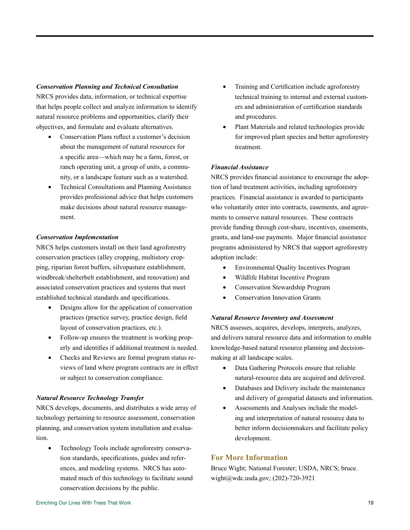#### *Conservation Planning and Technical Consultation*

NRCS provides data, information, or technical expertise that helps people collect and analyze information to identify natural resource problems and opportunities, clarify their objectives, and formulate and evaluate alternatives.

- Conservation Plans reflect a customer's decision about the management of natural resources for a specific area—which may be a farm, forest, or ranch operating unit, a group of units, a community, or a landscape feature such as a watershed.
- Technical Consultations and Planning Assistance provides professional advice that helps customers make decisions about natural resource management.

#### *Conservation Implementation*

NRCS helps customers install on their land agroforestry conservation practices (alley cropping, multistory cropping, riparian forest buffers, silvopasture establishment, windbreak/shelterbelt establishment, and renovation) and associated conservation practices and systems that meet established technical standards and specifications.

- Designs allow for the application of conservation practices (practice survey, practice design, field layout of conservation practices, etc.).
- Follow-up ensures the treatment is working properly and identifies if additional treatment is needed.
- Checks and Reviews are formal program status reviews of land where program contracts are in effect or subject to conservation compliance.

#### *Natural Resource Technology Transfer*

NRCS develops, documents, and distributes a wide array of technology pertaining to resource assessment, conservation planning, and conservation system installation and evaluation.

Technology Tools include agroforestry conservation standards, specifications, guides and references, and modeling systems. NRCS has automated much of this technology to facilitate sound conservation decisions by the public.

- Training and Certification include agroforestry technical training to internal and external customers and administration of certification standards and procedures.
- Plant Materials and related technologies provide for improved plant species and better agroforestry treatment.

#### *Financial Assistance*

NRCS provides financial assistance to encourage the adoption of land treatment activities, including agroforestry practices. Financial assistance is awarded to participants who voluntarily enter into contracts, easements, and agreements to conserve natural resources. These contracts provide funding through cost-share, incentives, easements, grants, and land-use payments. Major financial assistance programs administered by NRCS that support agroforestry adoption include:

- Environmental Quality Incentives Program
- Wildlife Habitat Incentive Program
- Conservation Stewardship Program
- Conservation Innovation Grants

#### *Natural Resource Inventory and Assessment*

NRCS assesses, acquires, develops, interprets, analyzes, and delivers natural resource data and information to enable knowledge-based natural resource planning and decisionmaking at all landscape scales.

- Data Gathering Protocols ensure that reliable natural-resource data are acquired and delivered.
- Databases and Delivery include the maintenance and delivery of geospatial datasets and information.
- Assessments and Analyses include the modeling and interpretation of natural resource data to better inform decisionmakers and facilitate policy development.

#### **For More Information**

Bruce Wight; National Forester; USDA, NRCS; bruce. wight@wdc.usda.gov; (202)-720-3921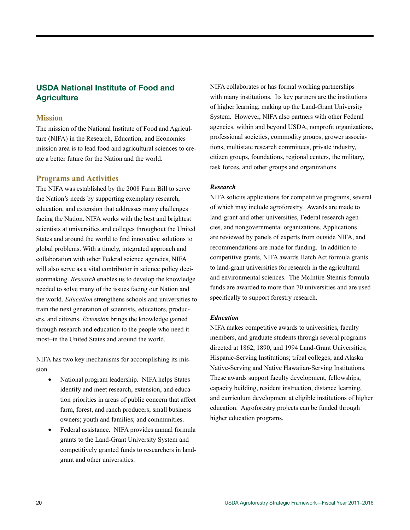## **USDA National Institute of Food and Agriculture**

#### **Mission**

The mission of the National Institute of Food and Agriculture (NIFA) in the Research, Education, and Economics mission area is to lead food and agricultural sciences to create a better future for the Nation and the world.

#### **Programs and Activities**

The NIFA was established by the 2008 Farm Bill to serve the Nation's needs by supporting exemplary research, education, and extension that addresses many challenges facing the Nation. NIFA works with the best and brightest scientists at universities and colleges throughout the United States and around the world to find innovative solutions to global problems. With a timely, integrated approach and collaboration with other Federal science agencies, NIFA will also serve as a vital contributor in science policy decisionmaking. *Research* enables us to develop the knowledge needed to solve many of the issues facing our Nation and the world. *Education* strengthens schools and universities to train the next generation of scientists, educatiors, producers, and citizens. *Extension* brings the knowledge gained through research and education to the people who need it most–in the United States and around the world.

NIFA has two key mechanisms for accomplishing its mission.

- National program leadership. NIFA helps States identify and meet research, extension, and education priorities in areas of public concern that affect farm, forest, and ranch producers; small business owners; youth and families; and communities.
- Federal assistance. NIFA provides annual formula grants to the Land-Grant University System and competitively granted funds to researchers in landgrant and other universities.

NIFA collaborates or has formal working partnerships with many institutions. Its key partners are the institutions of higher learning, making up the Land-Grant University System. However, NIFA also partners with other Federal agencies, within and beyond USDA, nonprofit organizations, professional societies, commodity groups, grower associations, multistate research committees, private industry, citizen groups, foundations, regional centers, the military, task forces, and other groups and organizations.

#### *Research*

NIFA solicits applications for competitive programs, several of which may include agroforestry. Awards are made to land-grant and other universities, Federal research agencies, and nongovernmental organizations. Applications are reviewed by panels of experts from outside NIFA, and recommendations are made for funding. In addition to competitive grants, NIFA awards Hatch Act formula grants to land-grant universities for research in the agricultural and environmental sciences. The McIntire-Stennis formula funds are awarded to more than 70 universities and are used specifically to support forestry research.

#### *Education*

NIFA makes competitive awards to universities, faculty members, and graduate students through several programs directed at 1862, 1890, and 1994 Land-Grant Universities; Hispanic-Serving Institutions; tribal colleges; and Alaska Native-Serving and Native Hawaiian-Serving Institutions. These awards support faculty development, fellowships, capacity building, resident instruction, distance learning, and curriculum development at eligible institutions of higher education. Agroforestry projects can be funded through higher education programs.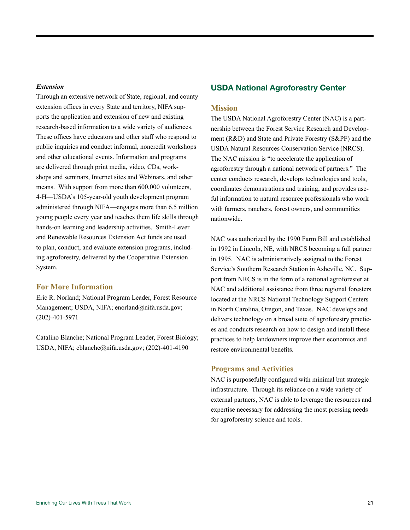#### *Extension*

Through an extensive network of State, regional, and county extension offices in every State and territory, NIFA supports the application and extension of new and existing research-based information to a wide variety of audiences. These offices have educators and other staff who respond to public inquiries and conduct informal, noncredit workshops and other educational events. Information and programs are delivered through print media, video, CDs, workshops and seminars, Internet sites and Webinars, and other means. With support from more than 600,000 volunteers, 4-H—USDA's 105-year-old youth development program administered through NIFA—engages more than 6.5 million young people every year and teaches them life skills through hands-on learning and leadership activities. Smith-Lever and Renewable Resources Extension Act funds are used to plan, conduct, and evaluate extension programs, including agroforestry, delivered by the Cooperative Extension System.

#### **For More Information**

Eric R. Norland; National Program Leader, Forest Resource Management; USDA, NIFA; enorland@nifa.usda.gov; (202)-401-5971

Catalino Blanche; National Program Leader, Forest Biology; USDA, NIFA; cblanche@nifa.usda.gov; (202)-401-4190

## **USDA National Agroforestry Center**

#### **Mission**

The USDA National Agroforestry Center (NAC) is a partnership between the Forest Service Research and Development (R&D) and State and Private Forestry (S&PF) and the USDA Natural Resources Conservation Service (NRCS). The NAC mission is "to accelerate the application of agroforestry through a national network of partners." The center conducts research, develops technologies and tools, coordinates demonstrations and training, and provides useful information to natural resource professionals who work with farmers, ranchers, forest owners, and communities nationwide.

NAC was authorized by the 1990 Farm Bill and established in 1992 in Lincoln, NE, with NRCS becoming a full partner in 1995. NAC is administratively assigned to the Forest Service's Southern Research Station in Asheville, NC. Support from NRCS is in the form of a national agroforester at NAC and additional assistance from three regional foresters located at the NRCS National Technology Support Centers in North Carolina, Oregon, and Texas. NAC develops and delivers technology on a broad suite of agroforestry practices and conducts research on how to design and install these practices to help landowners improve their economics and restore environmental benefits.

#### **Programs and Activities**

NAC is purposefully configured with minimal but strategic infrastructure. Through its reliance on a wide variety of external partners, NAC is able to leverage the resources and expertise necessary for addressing the most pressing needs for agroforestry science and tools.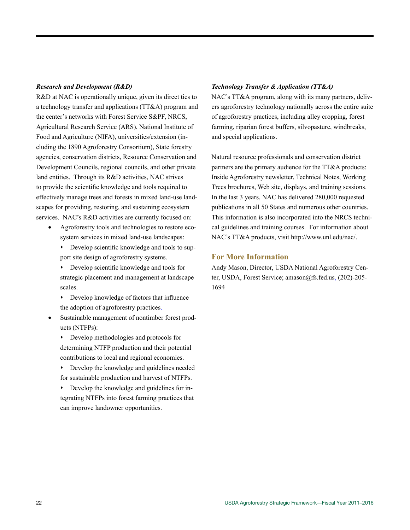#### *Research and Development (R&D)*

R&D at NAC is operationally unique, given its direct ties to a technology transfer and applications (TT&A) program and the center's networks with Forest Service S&PF, NRCS, Agricultural Research Service (ARS), National Institute of Food and Agriculture (NIFA), universities/extension (including the 1890 Agroforestry Consortium), State forestry agencies, conservation districts, Resource Conservation and Development Councils, regional councils, and other private land entities. Through its R&D activities, NAC strives to provide the scientific knowledge and tools required to effectively manage trees and forests in mixed land-use landscapes for providing, restoring, and sustaining ecosystem services. NAC's R&D activities are currently focused on:

- Agroforestry tools and technologies to restore ecosystem services in mixed land-use landscapes:
	- Develop scientific knowledge and tools to support site design of agroforestry systems.
	- Develop scientific knowledge and tools for strategic placement and management at landscape scales.
	- Develop knowledge of factors that influence the adoption of agroforestry practices.
- Sustainable management of nontimber forest products (NTFPs):
	- Develop methodologies and protocols for determining NTFP production and their potential contributions to local and regional economies.
	- Develop the knowledge and guidelines needed for sustainable production and harvest of NTFPs.
	- $\bullet$  Develop the knowledge and guidelines for integrating NTFPs into forest farming practices that can improve landowner opportunities.

#### *Technology Transfer & Application (TT&A)*

NAC's TT&A program, along with its many partners, delivers agroforestry technology nationally across the entire suite of agroforestry practices, including alley cropping, forest farming, riparian forest buffers, silvopasture, windbreaks, and special applications.

Natural resource professionals and conservation district partners are the primary audience for the TT&A products: Inside Agroforestry newsletter, Technical Notes, Working Trees brochures, Web site, displays, and training sessions. In the last 3 years, NAC has delivered 280,000 requested publications in all 50 States and numerous other countries. This information is also incorporated into the NRCS technical guidelines and training courses. For information about NAC's TT&A products, visit http://www.unl.edu/nac/.

#### **For More Information**

Andy Mason, Director, USDA National Agroforestry Center, USDA, Forest Service; amason@fs.fed.us, (202)-205- 1694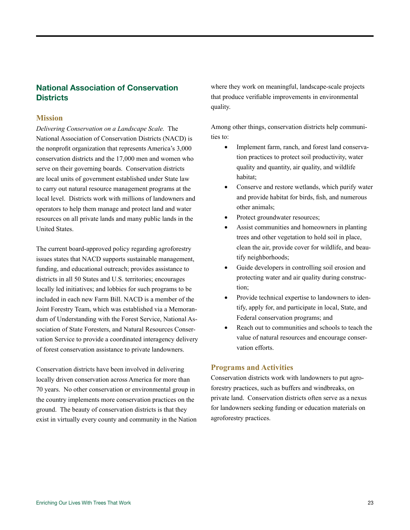## **National Association of Conservation Districts**

#### **Mission**

*Delivering Conservation on a Landscape Scale.* The National Association of Conservation Districts (NACD) is the nonprofit organization that represents America's 3,000 conservation districts and the 17,000 men and women who serve on their governing boards. Conservation districts are local units of government established under State law to carry out natural resource management programs at the local level. Districts work with millions of landowners and operators to help them manage and protect land and water resources on all private lands and many public lands in the United States.

The current board-approved policy regarding agroforestry issues states that NACD supports sustainable management, funding, and educational outreach; provides assistance to districts in all 50 States and U.S. territories; encourages locally led initiatives; and lobbies for such programs to be included in each new Farm Bill. NACD is a member of the Joint Forestry Team, which was established via a Memorandum of Understanding with the Forest Service, National Association of State Foresters, and Natural Resources Conservation Service to provide a coordinated interagency delivery of forest conservation assistance to private landowners.

Conservation districts have been involved in delivering locally driven conservation across America for more than 70 years. No other conservation or environmental group in the country implements more conservation practices on the ground. The beauty of conservation districts is that they exist in virtually every county and community in the Nation where they work on meaningful, landscape-scale projects that produce verifiable improvements in environmental quality.

Among other things, conservation districts help communities to:

- Implement farm, ranch, and forest land conservation practices to protect soil productivity, water quality and quantity, air quality, and wildlife habitat;
- Conserve and restore wetlands, which purify water and provide habitat for birds, fish, and numerous other animals;
- Protect groundwater resources;
- Assist communities and homeowners in planting trees and other vegetation to hold soil in place, clean the air, provide cover for wildlife, and beautify neighborhoods;
- Guide developers in controlling soil erosion and protecting water and air quality during construction;
- Provide technical expertise to landowners to identify, apply for, and participate in local, State, and Federal conservation programs; and
- Reach out to communities and schools to teach the value of natural resources and encourage conservation efforts.

#### **Programs and Activities**

Conservation districts work with landowners to put agroforestry practices, such as buffers and windbreaks, on private land. Conservation districts often serve as a nexus for landowners seeking funding or education materials on agroforestry practices.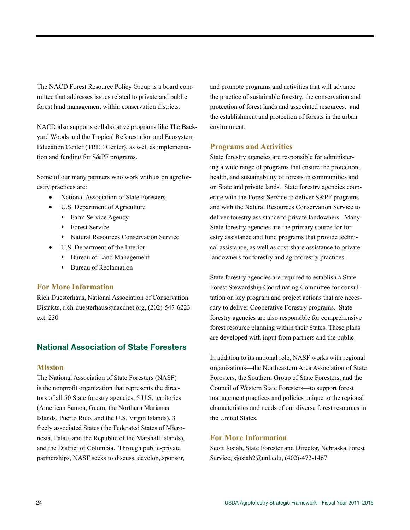The NACD Forest Resource Policy Group is a board committee that addresses issues related to private and public forest land management within conservation districts.

NACD also supports collaborative programs like The Backyard Woods and the Tropical Reforestation and Ecosystem Education Center (TREE Center), as well as implementation and funding for S&PF programs.

Some of our many partners who work with us on agroforestry practices are:

- National Association of State Foresters
	- U.S. Department of Agriculture
	- Farm Service Agency
	- $\cdot$  Forest Service
	- Natural Resources Conservation Service
- U.S. Department of the Interior
	- **\*** Bureau of Land Management
	- $\cdot$  Bureau of Reclamation

#### **For More Information**

Rich Duesterhaus, National Association of Conservation Districts, rich-duesterhaus@nacdnet.org, (202)-547-6223 ext. 230

## **National Association of State Foresters**

#### **Mission**

The National Association of State Foresters (NASF) is the nonprofit organization that represents the directors of all 50 State forestry agencies, 5 U.S. territories (American Samoa, Guam, the Northern Marianas Islands, Puerto Rico, and the U.S. Virgin Islands), 3 freely associated States (the Federated States of Micronesia, Palau, and the Republic of the Marshall Islands), and the District of Columbia. Through public-private partnerships, NASF seeks to discuss, develop, sponsor,

and promote programs and activities that will advance the practice of sustainable forestry, the conservation and protection of forest lands and associated resources, and the establishment and protection of forests in the urban environment.

#### **Programs and Activities**

State forestry agencies are responsible for administering a wide range of programs that ensure the protection, health, and sustainability of forests in communities and on State and private lands. State forestry agencies cooperate with the Forest Service to deliver S&PF programs and with the Natural Resources Conservation Service to deliver forestry assistance to private landowners. Many State forestry agencies are the primary source for forestry assistance and fund programs that provide technical assistance, as well as cost-share assistance to private landowners for forestry and agroforestry practices.

State forestry agencies are required to establish a State Forest Stewardship Coordinating Committee for consultation on key program and project actions that are necessary to deliver Cooperative Forestry programs. State forestry agencies are also responsible for comprehensive forest resource planning within their States. These plans are developed with input from partners and the public.

In addition to its national role, NASF works with regional organizations—the Northeastern Area Association of State Foresters, the Southern Group of State Foresters, and the Council of Western State Foresters—to support forest management practices and policies unique to the regional characteristics and needs of our diverse forest resources in the United States.

#### **For More Information**

Scott Josiah, State Forester and Director, Nebraska Forest Service, sjosiah2@unl.edu, (402)-472-1467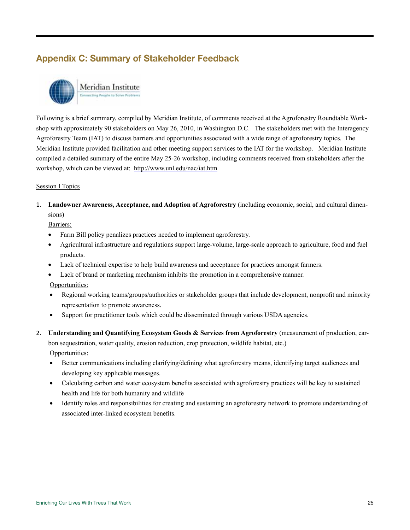# **Appendix C: Summary of Stakeholder Feedback**



Following is a brief summary, compiled by Meridian Institute, of comments received at the Agroforestry Roundtable Workshop with approximately 90 stakeholders on May 26, 2010, in Washington D.C. The stakeholders met with the Interagency Agroforestry Team (IAT) to discuss barriers and opportunities associated with a wide range of agroforestry topics. The Meridian Institute provided facilitation and other meeting support services to the IAT for the workshop. Meridian Institute compiled a detailed summary of the entire May 25-26 workshop, including comments received from stakeholders after the workshop, which can be viewed at: http://www.unl.edu/nac/iat.htm

#### Session I Topics

1. Landowner Awareness, Acceptance, and Adoption of Agroforestry (including economic, social, and cultural dimensions)

Barriers:

- Farm Bill policy penalizes practices needed to implement agroforestry.
- Agricultural infrastructure and regulations support large-volume, large-scale approach to agriculture, food and fuel products.
- Lack of technical expertise to help build awareness and acceptance for practices amongst farmers.
- Lack of brand or marketing mechanism inhibits the promotion in a comprehensive manner.

#### Opportunities:

- Regional working teams/groups/authorities or stakeholder groups that include development, nonprofit and minority representation to promote awareness.
- Support for practitioner tools which could be disseminated through various USDA agencies.
- 2. **Understanding and Quantifying Ecosystem Goods & Services from Agroforestry** (measurement of production, carbon sequestration, water quality, erosion reduction, crop protection, wildlife habitat, etc.) Opportunities:
	- Better communications including clarifying/defining what agroforestry means, identifying target audiences and developing key applicable messages.
	- Calculating carbon and water ecosystem benefits associated with agroforestry practices will be key to sustained health and life for both humanity and wildlife
	- Identify roles and responsibilities for creating and sustaining an agroforestry network to promote understanding of associated inter-linked ecosystem benefits.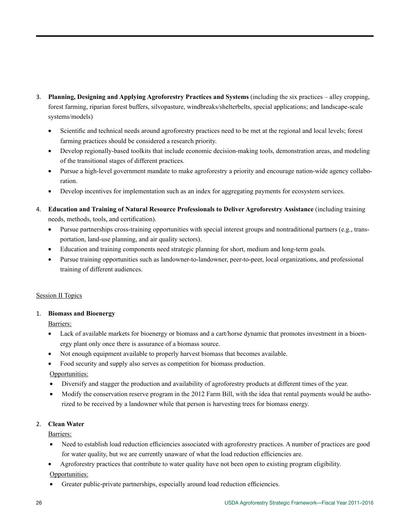- 3. **Planning, Designing and Applying Agroforestry Practices and Systems** (including the six practices alley cropping, forest farming, riparian forest buffers, silvopasture, windbreaks/shelterbelts, special applications; and landscape-scale systems/models)
	- Scientific and technical needs around agroforestry practices need to be met at the regional and local levels; forest farming practices should be considered a research priority.
	- Develop regionally-based toolkits that include economic decision-making tools, demonstration areas, and modeling of the transitional stages of different practices.
	- Pursue a high-level government mandate to make agroforestry a priority and encourage nation-wide agency collaboration.
	- Develop incentives for implementation such as an index for aggregating payments for ecosystem services.
- 4. **Education and Training of Natural Resource Professionals to Deliver Agroforestry Assistance** (including training needs, methods, tools, and certification).
	- Pursue partnerships cross-training opportunities with special interest groups and nontraditional partners (e.g., transportation, land-use planning, and air quality sectors).
	- Education and training components need strategic planning for short, medium and long-term goals.
	- Pursue training opportunities such as landowner-to-landowner, peer-to-peer, local organizations, and professional training of different audiences.

#### Session II Topics

#### 1. **Biomass and Bioenergy**

Barriers:

- Lack of available markets for bioenergy or biomass and a cart/horse dynamic that promotes investment in a bioenergy plant only once there is assurance of a biomass source.
- Not enough equipment available to properly harvest biomass that becomes available.
- Food security and supply also serves as competition for biomass production.

#### Opportunities:

- Diversify and stagger the production and availability of agroforestry products at different times of the year.
- Modify the conservation reserve program in the 2012 Farm Bill, with the idea that rental payments would be authorized to be received by a landowner while that person is harvesting trees for biomass energy.

#### 2. **Clean Water**

Barriers:

- Need to establish load reduction efficiencies associated with agroforestry practices. A number of practices are good for water quality, but we are currently unaware of what the load reduction efficiencies are.
- Agroforestry practices that contribute to water quality have not been open to existing program eligibility. Opportunities:
- Greater public-private partnerships, especially around load reduction efficiencies.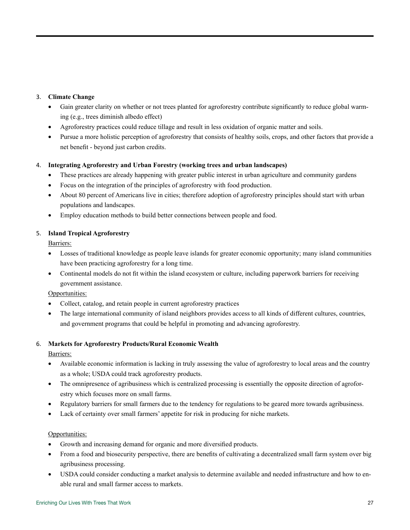#### 3. **Climate Change**

- Gain greater clarity on whether or not trees planted for agroforestry contribute significantly to reduce global warming (e.g., trees diminish albedo effect)
- Agroforestry practices could reduce tillage and result in less oxidation of organic matter and soils.
- Pursue a more holistic perception of agroforestry that consists of healthy soils, crops, and other factors that provide a net benefit - beyond just carbon credits.

## 4. **Integrating Agroforestry and Urban Forestry (working trees and urban landscapes)**

- These practices are already happening with greater public interest in urban agriculture and community gardens
- Focus on the integration of the principles of agroforestry with food production.
- About 80 percent of Americans live in cities; therefore adoption of agroforestry principles should start with urban populations and landscapes.
- Employ education methods to build better connections between people and food.

#### 5. **Island Tropical Agroforestry**

Barriers:

- • Losses of traditional knowledge as people leave islands for greater economic opportunity; many island communities have been practicing agroforestry for a long time.
- Continental models do not fit within the island ecosystem or culture, including paperwork barriers for receiving government assistance.

#### Opportunities:

- Collect, catalog, and retain people in current agroforestry practices
- The large international community of island neighbors provides access to all kinds of different cultures, countries, and government programs that could be helpful in promoting and advancing agroforestry.

#### 6. **Markets for Agroforestry Products/Rural Economic Wealth**

Barriers:

- Available economic information is lacking in truly assessing the value of agroforestry to local areas and the country as a whole; USDA could track agroforestry products.
- The omnipresence of agribusiness which is centralized processing is essentially the opposite direction of agroforestry which focuses more on small farms.
- Regulatory barriers for small farmers due to the tendency for regulations to be geared more towards agribusiness.
- Lack of certainty over small farmers' appetite for risk in producing for niche markets.

#### Opportunities:

- Growth and increasing demand for organic and more diversified products.
- From a food and biosecurity perspective, there are benefits of cultivating a decentralized small farm system over big agribusiness processing.
- USDA could consider conducting a market analysis to determine available and needed infrastructure and how to enable rural and small farmer access to markets.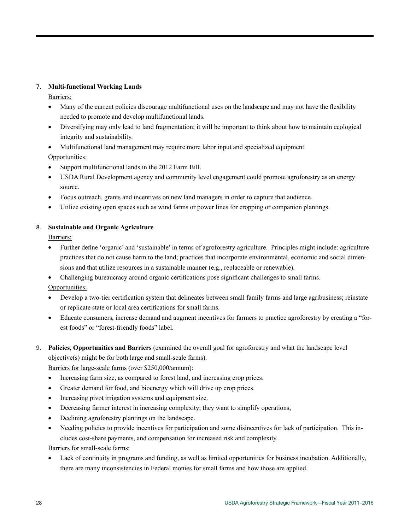#### 7. **Multi-functional Working Lands**

## Barriers:

- Many of the current policies discourage multifunctional uses on the landscape and may not have the flexibility needed to promote and develop multifunctional lands.
- Diversifying may only lead to land fragmentation; it will be important to think about how to maintain ecological integrity and sustainability.
- Multifunctional land management may require more labor input and specialized equipment.

## Opportunities:

- Support multifunctional lands in the 2012 Farm Bill.
- USDA Rural Development agency and community level engagement could promote agroforestry as an energy source.
- Focus outreach, grants and incentives on new land managers in order to capture that audience.
- Utilize existing open spaces such as wind farms or power lines for cropping or companion plantings.

## 8. **Sustainable and Organic Agriculture**

Barriers:

- Further define 'organic' and 'sustainable' in terms of agroforestry agriculture. Principles might include: agriculture practices that do not cause harm to the land; practices that incorporate environmental, economic and social dimensions and that utilize resources in a sustainable manner (e.g., replaceable or renewable).
- Challenging bureaucracy around organic certifications pose significant challenges to small farms.

Opportunities:

- Develop a two-tier certification system that delineates between small family farms and large agribusiness; reinstate or replicate state or local area certifications for small farms.
- Educate consumers, increase demand and augment incentives for farmers to practice agroforestry by creating a "forest foods" or "forest-friendly foods" label.
- 9. **Policies, Opportunities and Barriers** (examined the overall goal for agroforestry and what the landscape level objective(s) might be for both large and small-scale farms).

Barriers for large-scale farms (over \$250,000/annum):

- Increasing farm size, as compared to forest land, and increasing crop prices.
- Greater demand for food, and bioenergy which will drive up crop prices.
- Increasing pivot irrigation systems and equipment size.
- Decreasing farmer interest in increasing complexity; they want to simplify operations,
- Declining agroforestry plantings on the landscape.
- Needing policies to provide incentives for participation and some disincentives for lack of participation. This includes cost-share payments, and compensation for increased risk and complexity.

Barriers for small-scale farms:

Lack of continuity in programs and funding, as well as limited opportunities for business incubation. Additionally, there are many inconsistencies in Federal monies for small farms and how those are applied.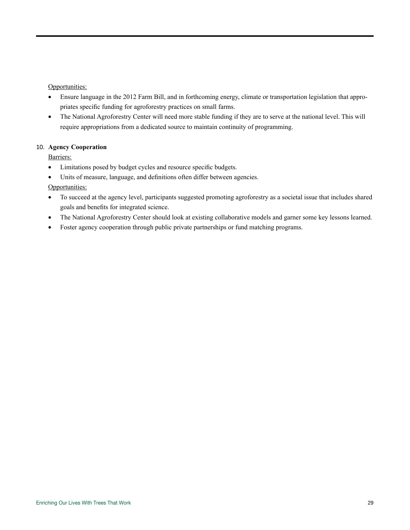#### Opportunities:

- Ensure language in the 2012 Farm Bill, and in forthcoming energy, climate or transportation legislation that appropriates specific funding for agroforestry practices on small farms.
- The National Agroforestry Center will need more stable funding if they are to serve at the national level. This will require appropriations from a dedicated source to maintain continuity of programming.

#### 10. **Agency Cooperation**

Barriers:

- Limitations posed by budget cycles and resource specific budgets.
- Units of measure, language, and definitions often differ between agencies.

#### Opportunities:

- • To succeed at the agency level, participants suggested promoting agroforestry as a societal issue that includes shared goals and benefits for integrated science.
- The National Agroforestry Center should look at existing collaborative models and garner some key lessons learned.
- Foster agency cooperation through public private partnerships or fund matching programs.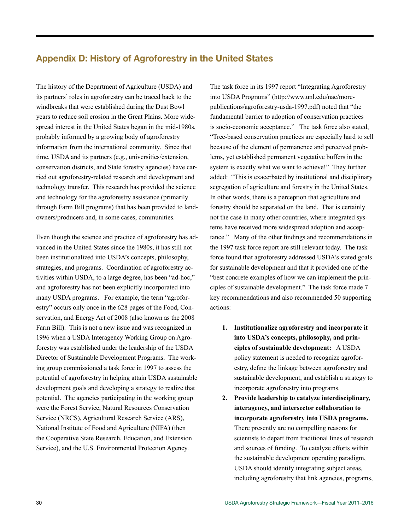# **Appendix D: History of Agroforestry in the United States**

The history of the Department of Agriculture (USDA) and its partners' roles in agroforestry can be traced back to the windbreaks that were established during the Dust Bowl years to reduce soil erosion in the Great Plains. More widespread interest in the United States began in the mid-1980s, probably informed by a growing body of agroforestry information from the international community. Since that time, USDA and its partners (e.g., universities/extension, conservation districts, and State forestry agencies) have carried out agroforestry-related research and development and technology transfer. This research has provided the science and technology for the agroforestry assistance (primarily through Farm Bill programs) that has been provided to landowners/producers and, in some cases, communities.

Even though the science and practice of agroforestry has advanced in the United States since the 1980s, it has still not been institutionalized into USDA's concepts, philosophy, strategies, and programs. Coordination of agroforestry activities within USDA, to a large degree, has been "ad-hoc," and agroforestry has not been explicitly incorporated into many USDA programs. For example, the term "agroforestry" occurs only once in the 628 pages of the Food, Conservation, and Energy Act of 2008 (also known as the 2008 Farm Bill). This is not a new issue and was recognized in 1996 when a USDA Interagency Working Group on Agroforestry was established under the leadership of the USDA Director of Sustainable Development Programs. The working group commissioned a task force in 1997 to assess the potential of agroforestry in helping attain USDA sustainable development goals and developing a strategy to realize that potential. The agencies participating in the working group were the Forest Service, Natural Resources Conservation Service (NRCS), Agricultural Research Service (ARS), National Institute of Food and Agriculture (NIFA) (then the Cooperative State Research, Education, and Extension Service), and the U.S. Environmental Protection Agency.

The task force in its 1997 report "Integrating Agroforestry into USDA Programs" (http://www.unl.edu/nac/morepublications/agroforestry-usda-1997.pdf) noted that "the fundamental barrier to adoption of conservation practices is socio-economic acceptance." The task force also stated, "Tree-based conservation practices are especially hard to sell because of the element of permanence and perceived problems, yet established permanent vegetative buffers in the system is exactly what we want to achieve!" They further added: "This is exacerbated by institutional and disciplinary segregation of agriculture and forestry in the United States. In other words, there is a perception that agriculture and forestry should be separated on the land. That is certainly not the case in many other countries, where integrated systems have received more widespread adoption and acceptance." Many of the other findings and recommendations in the 1997 task force report are still relevant today. The task force found that agroforestry addressed USDA's stated goals for sustainable development and that it provided one of the "best concrete examples of how we can implement the principles of sustainable development." The task force made 7 key recommendations and also recommended 50 supporting actions:

- **1. Institutionalize agroforestry and incorporate it into USDA's concepts, philosophy, and principles of sustainable development:** A USDA policy statement is needed to recognize agroforestry, define the linkage between agroforestry and sustainable development, and establish a strategy to incorporate agroforestry into programs.
- **2. Provide leadership to catalyze interdisciplinary, interagency, and intersector collaboration to incorporate agroforestry into USDA programs.** There presently are no compelling reasons for scientists to depart from traditional lines of research and sources of funding. To catalyze efforts within the sustainable development operating paradigm, USDA should identify integrating subject areas, including agroforestry that link agencies, programs,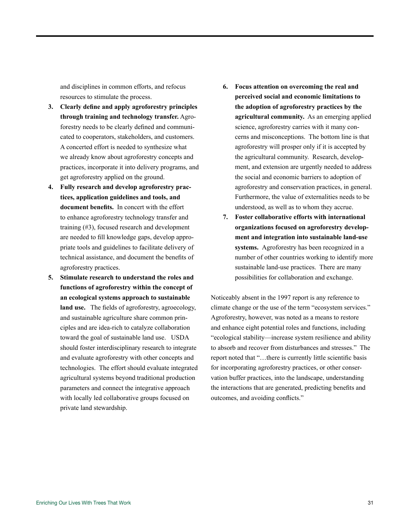and disciplines in common efforts, and refocus resources to stimulate the process.

- **3. Clearly define and apply agroforestry principles through training and technology transfer.** Agroforestry needs to be clearly defined and communicated to cooperators, stakeholders, and customers. A concerted effort is needed to synthesize what we already know about agroforestry concepts and practices, incorporate it into delivery programs, and get agroforestry applied on the ground.
- **4. Fully research and develop agroforestry practices, application guidelines and tools, and document benefits.** In concert with the effort to enhance agroforestry technology transfer and training (#3), focused research and development are needed to fill knowledge gaps, develop appropriate tools and guidelines to facilitate delivery of technical assistance, and document the benefits of agroforestry practices.
- **5. Stimulate research to understand the roles and functions of agroforestry within the concept of an ecological systems approach to sustainable land use.** The fields of agroforestry, agroecology, and sustainable agriculture share common principles and are idea-rich to catalyze collaboration toward the goal of sustainable land use. USDA should foster interdisciplinary research to integrate and evaluate agroforestry with other concepts and technologies. The effort should evaluate integrated agricultural systems beyond traditional production parameters and connect the integrative approach with locally led collaborative groups focused on private land stewardship.
- **6. Focus attention on overcoming the real and perceived social and economic limitations to the adoption of agroforestry practices by the agricultural community.** As an emerging applied science, agroforestry carries with it many concerns and misconceptions. The bottom line is that agroforestry will prosper only if it is accepted by the agricultural community. Research, development, and extension are urgently needed to address the social and economic barriers to adoption of agroforestry and conservation practices, in general. Furthermore, the value of externalities needs to be understood, as well as to whom they accrue.
- **7. Foster collaborative efforts with international organizations focused on agroforestry development and integration into sustainable land-use systems.** Agroforestry has been recognized in a number of other countries working to identify more sustainable land-use practices. There are many possibilities for collaboration and exchange.

Noticeably absent in the 1997 report is any reference to climate change or the use of the term "ecosystem services." Agroforestry, however, was noted as a means to restore and enhance eight potential roles and functions, including "ecological stability—increase system resilience and ability to absorb and recover from disturbances and stresses." The report noted that "…there is currently little scientific basis for incorporating agroforestry practices, or other conservation buffer practices, into the landscape, understanding the interactions that are generated, predicting benefits and outcomes, and avoiding conflicts."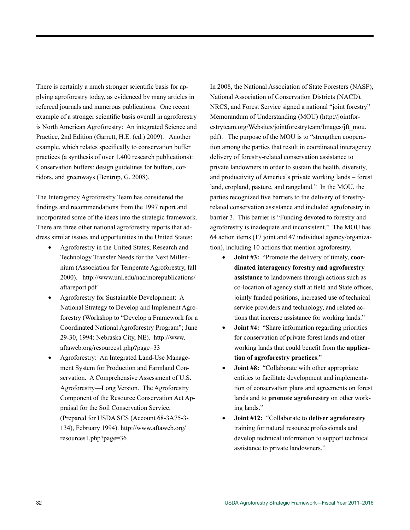There is certainly a much stronger scientific basis for applying agroforestry today, as evidenced by many articles in refereed journals and numerous publications. One recent example of a stronger scientific basis overall in agroforestry is North American Agroforestry: An integrated Science and Practice, 2nd Edition (Garrett, H.E. (ed.) 2009). Another example, which relates specifically to conservation buffer practices (a synthesis of over 1,400 research publications): Conservation buffers: design guidelines for buffers, corridors, and greenways (Bentrup, G. 2008).

The Interagency Agroforestry Team has considered the findings and recommendations from the 1997 report and incorporated some of the ideas into the strategic framework. There are three other national agroforestry reports that address similar issues and opportunities in the United States:

- Agroforestry in the United States; Research and Technology Transfer Needs for the Next Millennium (Association for Temperate Agroforestry, fall 2000). http://www.unl.edu/nac/morepublications/ aftareport.pdf
- Agroforestry for Sustainable Development: A National Strategy to Develop and Implement Agroforestry (Workshop to "Develop a Framework for a Coordinated National Agroforestry Program"; June 29-30, 1994: Nebraska City, NE). http://www. aftaweb.org/resources1.php?page=33
- Agroforestry: An Integrated Land-Use Management System for Production and Farmland Conservation. A Comprehensive Assessment of U.S. Agroforestry—Long Version. The Agroforestry Component of the Resource Conservation Act Appraisal for the Soil Conservation Service. (Prepared for USDA SCS (Account 68-3A75-3- 134), February 1994). http://www.aftaweb.org/ resources1.php?page=36

In 2008, the National Association of State Foresters (NASF), National Association of Conservation Districts (NACD), NRCS, and Forest Service signed a national "joint forestry" Memorandum of Understanding (MOU) (http://jointforestryteam.org/Websites/jointforestryteam/Images/jft\_mou. pdf). The purpose of the MOU is to "strengthen cooperation among the parties that result in coordinated interagency delivery of forestry-related conservation assistance to private landowners in order to sustain the health, diversity, and productivity of America's private working lands – forest land, cropland, pasture, and rangeland." In the MOU, the parties recognized five barriers to the delivery of forestryrelated conservation assistance and included agroforestry in barrier 3. This barrier is "Funding devoted to forestry and agroforestry is inadequate and inconsistent." The MOU has 64 action items (17 joint and 47 individual agency/organization), including 10 actions that mention agroforestry.

- **Joint #3:** "Promote the delivery of timely, **coordinated interagency forestry and agroforestry assistance** to landowners through actions such as co-location of agency staff at field and State offices, jointly funded positions, increased use of technical service providers and technology, and related actions that increase assistance for working lands."
- **Joint #4:** "Share information regarding priorities for conservation of private forest lands and other working lands that could benefit from the **application of agroforestry practices**."
- **Joint #8:** "Collaborate with other appropriate entities to facilitate development and implementation of conservation plans and agreements on forest lands and to **promote agroforestry** on other working lands."
- **Joint #12: "Collaborate to deliver agroforestry** training for natural resource professionals and develop technical information to support technical assistance to private landowners."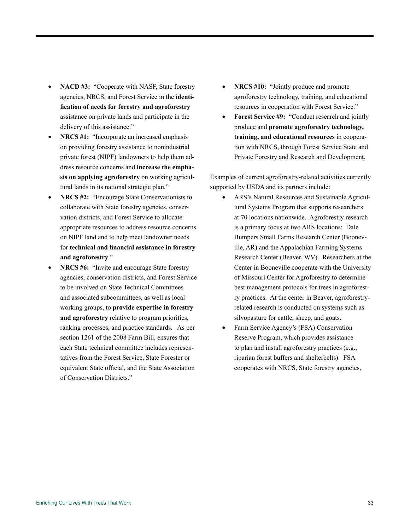- **NACD #3:** "Cooperate with NASF, State forestry agencies, NRCS, and Forest Service in the **identification of needs for forestry and agroforestry**  assistance on private lands and participate in the delivery of this assistance."
- **NRCS #1:** "Incorporate an increased emphasis" on providing forestry assistance to nonindustrial private forest (NIPF) landowners to help them address resource concerns and **increase the emphasis on applying agroforestry** on working agricultural lands in its national strategic plan."
- **NRCS #2:** "Encourage State Conservationists to collaborate with State forestry agencies, conservation districts, and Forest Service to allocate appropriate resources to address resource concerns on NIPF land and to help meet landowner needs for **technical and financial assistance in forestry and agroforestry**."
- **NRCS #6:** "Invite and encourage State forestry" agencies, conservation districts, and Forest Service to be involved on State Technical Committees and associated subcommittees, as well as local working groups, to **provide expertise in forestry and agroforestry** relative to program priorities, ranking processes, and practice standards. As per section 1261 of the 2008 Farm Bill, ensures that each State technical committee includes representatives from the Forest Service, State Forester or equivalent State official, and the State Association of Conservation Districts."
- **NRCS**#10: "Jointly produce and promote" agroforestry technology, training, and educational resources in cooperation with Forest Service."
- **Forest Service #9:** "Conduct research and jointly produce and **promote agroforestry technology, training, and educational resources** in cooperation with NRCS, through Forest Service State and Private Forestry and Research and Development.

Examples of current agroforestry-related activities currently supported by USDA and its partners include:

- ARS's Natural Resources and Sustainable Agricultural Systems Program that supports researchers at 70 locations nationwide. Agroforestry research is a primary focus at two ARS locations: Dale Bumpers Small Farms Research Center (Booneville, AR) and the Appalachian Farming Systems Research Center (Beaver, WV). Researchers at the Center in Booneville cooperate with the University of Missouri Center for Agroforestry to determine best management protocols for trees in agroforestry practices. At the center in Beaver, agroforestryrelated research is conducted on systems such as silvopasture for cattle, sheep, and goats.
- Farm Service Agency's (FSA) Conservation Reserve Program, which provides assistance to plan and install agroforestry practices (e.g., riparian forest buffers and shelterbelts). FSA cooperates with NRCS, State forestry agencies,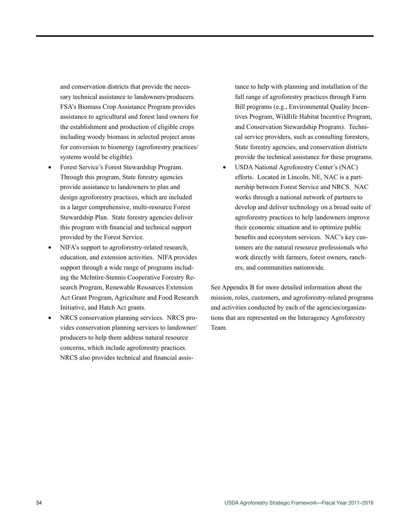and conservation districts that provide the necessary technical assistance to landowners/producers. FSA's Biomass Crop Assistance Program provides assistance to agricultural and forest land owners for the establishment and production of eligible crops including woody biomass in selected project areas for conversion to bioenergy (agroforestry practices/ systems would be eligible).

- Forest Service's Forest Stewardship Program. Through this program, State forestry agencies provide assistance to landowners to plan and design agroforestry practices, which are included in a larger comprehensive, multi-resource Forest Stewardship Plan. State forestry agencies deliver this program with financial and technical support provided by the Forest Service.
- NIFA's support to agroforestry-related research, education, and extension activities. NIFA provides support through a wide range of programs including the McIntire-Stennis Cooperative Forestry Research Program, Renewable Resources Extension Act Grant Program, Agriculture and Food Research Initiative, and Hatch Act grants.
- NRCS conservation planning services. NRCS provides conservation planning services to landowner/ producers to help them address natural resource concerns, which include agroforestry practices. NRCS also provides technical and financial assis-

tance to help with planning and installation of the full range of agroforestry practices through Farm Bill programs (e.g., Environmental Quality Incentives Program, Wildlife Habitat Incentive Program, and Conservation Stewardship Program). Technical service providers, such as consulting foresters, State forestry agencies, and conservation districts provide the technical assistance for these programs.

USDA National Agroforestry Center's (NAC) efforts. Located in Lincoln, NE, NAC is a partnership between Forest Service and NRCS. NAC works through a national network of partners to develop and deliver technology on a broad suite of agroforestry practices to help landowners improve their economic situation and to optimize public benefits and ecosystem services. NAC's key customers are the natural resource professionals who work directly with farmers, forest owners, ranchers, and communities nationwide.

See Appendix B for more detailed information about the mission, roles, customers, and agroforestry-related programs and activities conducted by each of the agencies/organizations that are represented on the Interagency Agroforestry Team.